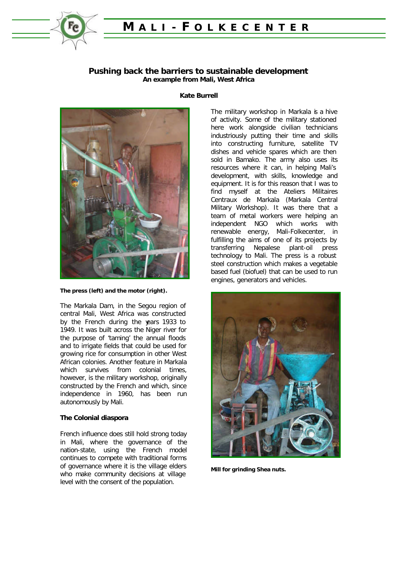

# **M ALI - F OLKECENTER**

## **Pushing back the barriers to sustainable development An example from Mali, West Africa**



#### **The press (left) and the motor (right).**

The Markala Dam, in the Segou region of central Mali, West Africa was constructed by the French during the years 1933 to 1949. It was built across the Niger river for the purpose of 'taming' the annual floods and to irrigate fields that could be used for growing rice for consumption in other West African colonies. Another feature in Markala which survives from colonial times. however, is the military workshop, originally constructed by the French and which, since independence in 1960, has been run autonomously by Mali.

#### **The Colonial diaspora**

French influence does still hold strong today in Mali, where the governance of the nation-state, using the French model continues to compete with traditional forms of governance where it is the village elders who make community decisions at village level with the consent of the population.

#### **Kate Burrell**

The military workshop in Markala is a hive of activity. Some of the military stationed here work alongside civilian technicians industriously putting their time and skills into constructing furniture, satellite TV dishes and vehicle spares which are then sold in Bamako. The army also uses its resources where it can, in helping Mali's development, with skills, knowledge and equipment. It is for this reason that I was to find myself at the Ateliers Militaires Centraux de Markala (Markala Central Military Workshop). It was there that a team of metal workers were helping an independent NGO which works with renewable energy, Mali-Folkecenter, in fulfilling the aims of one of its projects by transferring Nepalese plant-oil press technology to Mali. The press is a robust steel construction which makes a vegetable based fuel (biofuel) that can be used to run engines, generators and vehicles.



**Mill for grinding Shea nuts.**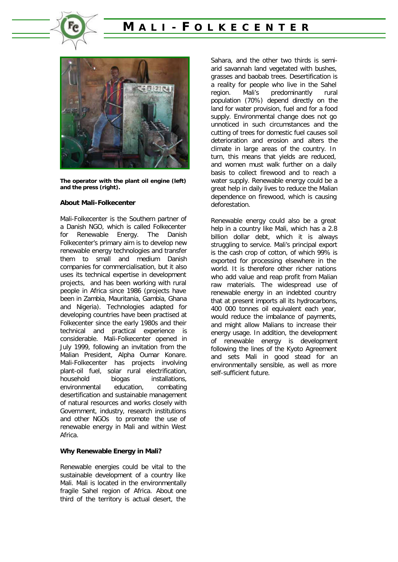





**The operator with the plant oil engine (left) and the press (right).**

#### **About Mali-Folkecenter**

Mali-Folkecenter is the Southern partner of a Danish NGO, which is called Folkecenter for Renewable Energy. The Danish Folkecenter's primary aim is to develop new renewable energy technologies and transfer them to small and medium Danish companies for commercialisation, but it also uses its technical expertise in development projects, and has been working with rural people in Africa since 1986 (projects have been in Zambia, Mauritania, Gambia, Ghana and Nigeria). Technologies adapted for developing countries have been practised at Folkecenter since the early 1980s and their technical and practical experience is considerable. Mali-Folkecenter opened in July 1999, following an invitation from the Malian President, Alpha Oumar Konare. Mali-Folkecenter has projects involving plant-oil fuel, solar rural electrification, household biogas installations, environmental education, combating desertification and sustainable management of natural resources and works closely with Government, industry, research institutions and other NGOs to promote the use of renewable energy in Mali and within West Africa.

#### **Why Renewable Energy in Mali?**

Renewable energies could be vital to the sustainable development of a country like Mali. Mali is located in the environmentally fragile Sahel region of Africa. About one third of the territory is actual desert, the

Sahara, and the other two thirds is semiarid savannah land vegetated with bushes, grasses and baobab trees. Desertification is a reality for people who live in the Sahel region. Mali's predominantly rural population (70%) depend directly on the land for water provision, fuel and for a food supply. Environmental change does not go unnoticed in such circumstances and the cutting of trees for domestic fuel causes soil deterioration and erosion and alters the climate in large areas of the country. In turn, this means that yields are reduced, and women must walk further on a daily basis to collect firewood and to reach a water supply. Renewable energy could be a great help in daily lives to reduce the Malian dependence on firewood, which is causing deforestation.

Renewable energy could also be a great help in a country like Mali, which has a 2.8 billion dollar debt, which it is always struggling to service. Mali's principal export is the cash crop of cotton, of which 99% is exported for processing elsewhere in the world. It is therefore other richer nations who add value and reap profit from Malian raw materials. The widespread use of renewable energy in an indebted country that at present imports all its hydrocarbons, 400 000 tonnes oil equivalent each year, would reduce the imbalance of payments, and might allow Malians to increase their energy usage. In addition, the development of renewable energy is development following the lines of the Kyoto Agreement and sets Mali in good stead for an environmentally sensible, as well as more self-sufficient future.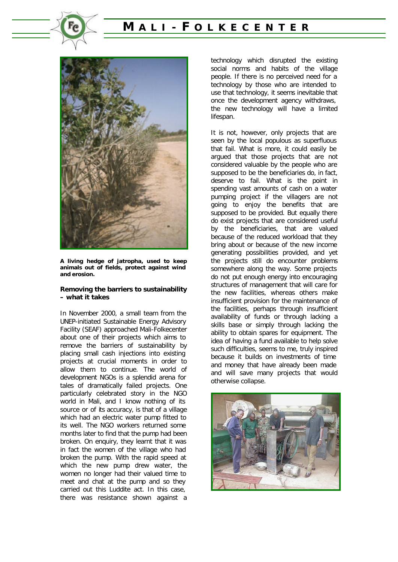





**A living hedge of jatropha, used to keep animals out of fields, protect against wind and erosion.**

#### **Removing the barriers to sustainability – what it takes**

In November 2000, a small team from the UNEP-initiated Sustainable Energy Advisory Facility (SEAF) approached Mali-Folkecenter about one of their projects which aims to remove the barriers of sustainability by placing small cash injections into existing projects at crucial moments in order to allow them to continue. The world of development NGOs is a splendid arena for tales of dramatically failed projects. One particularly celebrated story in the NGO world in Mali, and I know nothing of its source or of its accuracy, is that of a village which had an electric water pump fitted to its well. The NGO workers returned some months later to find that the pump had been broken. On enquiry, they learnt that it was in fact the women of the village who had broken the pump. With the rapid speed at which the new pump drew water, the women no longer had their valued time to meet and chat at the pump and so they carried out this Luddite act. In this case, there was resistance shown against a technology which disrupted the existing social norms and habits of the village people. If there is no perceived need for a technology by those who are intended to use that technology, it seems inevitable that once the development agency withdraws, the new technology will have a limited lifespan.

It is not, however, only projects that are seen by the local populous as superfluous that fail. What is more, it could easily be argued that those projects that are not considered valuable by the people who are supposed to be the beneficiaries do, in fact, deserve to fail. What is the point in spending vast amounts of cash on a water pumping project if the villagers are not going to enjoy the benefits that are supposed to be provided. But equally there do exist projects that are considered useful by the beneficiaries, that are valued because of the reduced workload that they bring about or because of the new income generating possibilities provided, and yet the projects still do encounter problems somewhere along the way. Some projects do not put enough energy into encouraging structures of management that will care for the new facilities, whereas others make insufficient provision for the maintenance of the facilities, perhaps through insufficient availability of funds or through lacking a skills base or simply through lacking the ability to obtain spares for equipment. The idea of having a fund available to help solve such difficulties, seems to me, truly inspired because it builds on investments of time and money that have already been made and will save many projects that would otherwise collapse.

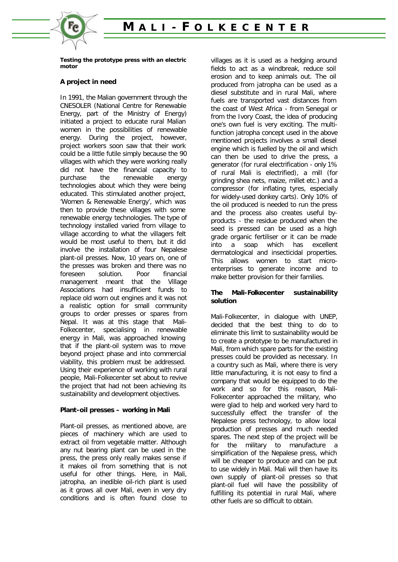

**Testing the prototype press with an electric motor**

# **A project in need**

In 1991, the Malian government through the CNESOLER (National Centre for Renewable Energy, part of the Ministry of Energy) initiated a project to educate rural Malian women in the possibilities of renewable energy. During the project, however, project workers soon saw that their work could be a little futile simply because the 90 villages with which they were working really did not have the financial capacity to purchase the renewable energy technologies about which they were being educated. This stimulated another project, 'Women & Renewable Energy', which was then to provide these villages with some renewable energy technologies. The type of technology installed varied from village to village according to what the villagers felt would be most useful to them, but it did involve the installation of four Nepalese plant-oil presses. Now, 10 years on, one of the presses was broken and there was no foreseen solution. Poor financial management meant that the Village Associations had insufficient funds to replace old worn out engines and it was not a realistic option for small community groups to order presses or spares from Nepal. It was at this stage that Mali-Folkecenter, specialising in renewable energy in Mali, was approached knowing that if the plant-oil system was to move beyond project phase and into commercial viability, this problem must be addressed. Using their experience of working with rural people, Mali-Folkecenter set about to revive the project that had not been achieving its sustainability and development objectives.

## **Plant-oil presses – working in Mali**

Plant-oil presses, as mentioned above, are pieces of machinery which are used to extract oil from vegetable matter. Although any nut bearing plant can be used in the press, the press only really makes sense if it makes oil from something that is not useful for other things. Here, in Mali, jatropha, an inedible oil-rich plant is used as it grows all over Mali, even in very dry conditions and is often found close to villages as it is used as a hedging around fields to act as a windbreak, reduce soil erosion and to keep animals out. The oil produced from jatropha can be used as a diesel substitute and in rural Mali, where fuels are transported vast distances from the coast of West Africa - from Senegal or from the Ivory Coast, the idea of producing one's own fuel is very exciting. The multifunction jatropha concept used in the above mentioned projects involves a small diesel engine which is fuelled by the oil and which can then be used to drive the press, a generator (for rural electrification - only 1% of rural Mali is electrified), a mill (for grinding shea nets, maize, millet etc.) and a compressor (for inflating tyres, especially for widely-used donkey carts). Only 10% of the oil produced is needed to run the press and the process also creates useful byproducts - the residue produced when the seed is pressed can be used as a high grade organic fertiliser or it can be made into a soap which has excellent dermatological and insecticidal properties. This allows women to start microenterprises to generate income and to make better provision for their families.

## **The Mali-Folkecenter sustainability solution**

Mali-Folkecenter, in dialogue with UNEP, decided that the best thing to do to eliminate this limit to sustainability would be to create a prototype to be manufactured in Mali, from which spare parts for the existing presses could be provided as necessary. In a country such as Mali, where there is very little manufacturing, it is not easy to find a company that would be equipped to do the work and so for this reason, Mali-Folkecenter approached the military, who were glad to help and worked very hard to successfully effect the transfer of the Nepalese press technology, to allow local production of presses and much needed spares. The next step of the project will be for the military to manufacture a simplification of the Nepalese press, which will be cheaper to produce and can be put to use widely in Mali. Mali will then have its own supply of plant-oil presses so that plant-oil fuel will have the possibility of fulfilling its potential in rural Mali, where other fuels are so difficult to obtain.